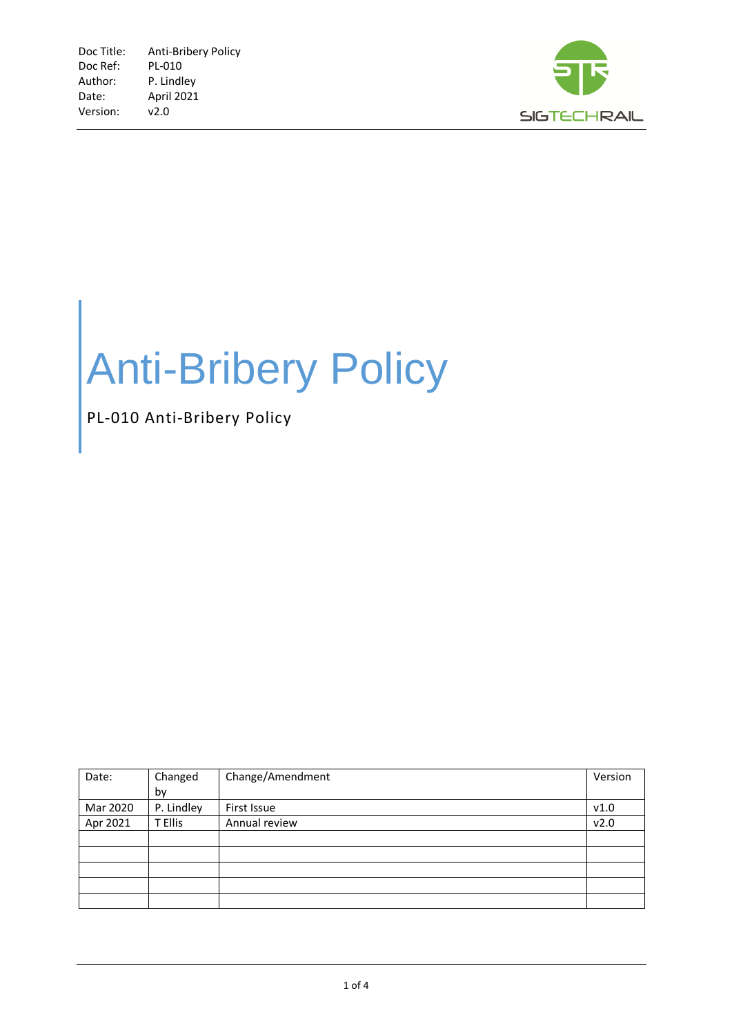

# Anti-Bribery Policy

### PL-010 Anti-Bribery Policy

| Date:    | Changed    | Change/Amendment | Version |
|----------|------------|------------------|---------|
|          | by         |                  |         |
| Mar 2020 | P. Lindley | First Issue      | v1.0    |
| Apr 2021 | T Ellis    | Annual review    | v2.0    |
|          |            |                  |         |
|          |            |                  |         |
|          |            |                  |         |
|          |            |                  |         |
|          |            |                  |         |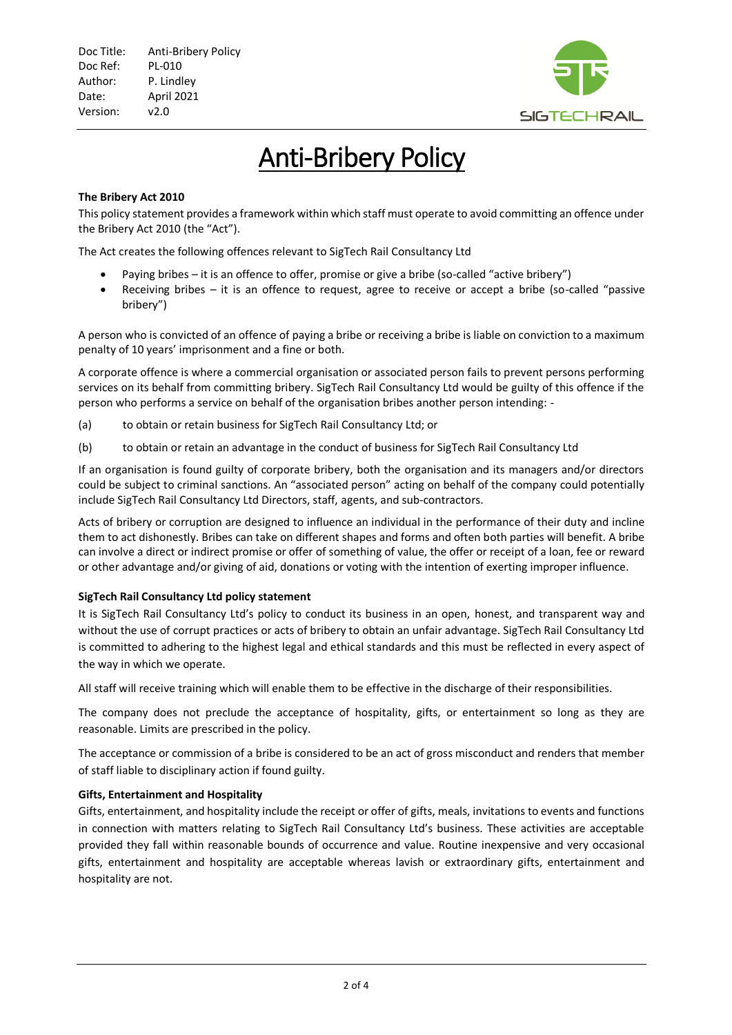

## Anti-Bribery Policy

#### **The Bribery Act 2010**

This policy statement provides a framework within which staff must operate to avoid committing an offence under the Bribery Act 2010 (the "Act").

The Act creates the following offences relevant to SigTech Rail Consultancy Ltd

- Paying bribes it is an offence to offer, promise or give a bribe (so-called "active bribery")
- Receiving bribes it is an offence to request, agree to receive or accept a bribe (so-called "passive bribery")

A person who is convicted of an offence of paying a bribe or receiving a bribe is liable on conviction to a maximum penalty of 10 years' imprisonment and a fine or both.

A corporate offence is where a commercial organisation or associated person fails to prevent persons performing services on its behalf from committing bribery. SigTech Rail Consultancy Ltd would be guilty of this offence if the person who performs a service on behalf of the organisation bribes another person intending: -

- (a) to obtain or retain business for SigTech Rail Consultancy Ltd; or
- (b) to obtain or retain an advantage in the conduct of business for SigTech Rail Consultancy Ltd

If an organisation is found guilty of corporate bribery, both the organisation and its managers and/or directors could be subject to criminal sanctions. An "associated person" acting on behalf of the company could potentially include SigTech Rail Consultancy Ltd Directors, staff, agents, and sub-contractors.

Acts of bribery or corruption are designed to influence an individual in the performance of their duty and incline them to act dishonestly. Bribes can take on different shapes and forms and often both parties will benefit. A bribe can involve a direct or indirect promise or offer of something of value, the offer or receipt of a loan, fee or reward or other advantage and/or giving of aid, donations or voting with the intention of exerting improper influence.

#### **SigTech Rail Consultancy Ltd policy statement**

It is SigTech Rail Consultancy Ltd's policy to conduct its business in an open, honest, and transparent way and without the use of corrupt practices or acts of bribery to obtain an unfair advantage. SigTech Rail Consultancy Ltd is committed to adhering to the highest legal and ethical standards and this must be reflected in every aspect of the way in which we operate.

All staff will receive training which will enable them to be effective in the discharge of their responsibilities.

The company does not preclude the acceptance of hospitality, gifts, or entertainment so long as they are reasonable. Limits are prescribed in the policy.

The acceptance or commission of a bribe is considered to be an act of gross misconduct and renders that member of staff liable to disciplinary action if found guilty.

#### **Gifts, Entertainment and Hospitality**

Gifts, entertainment, and hospitality include the receipt or offer of gifts, meals, invitations to events and functions in connection with matters relating to SigTech Rail Consultancy Ltd's business. These activities are acceptable provided they fall within reasonable bounds of occurrence and value. Routine inexpensive and very occasional gifts, entertainment and hospitality are acceptable whereas lavish or extraordinary gifts, entertainment and hospitality are not.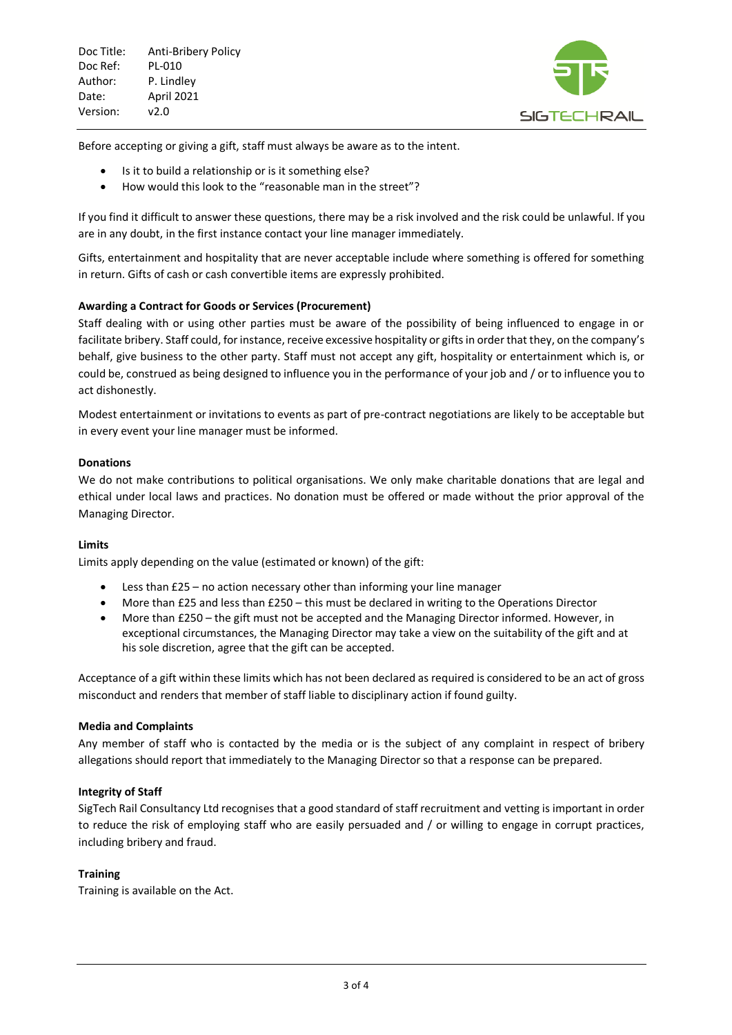

Before accepting or giving a gift, staff must always be aware as to the intent.

- Is it to build a relationship or is it something else?
- How would this look to the "reasonable man in the street"?

If you find it difficult to answer these questions, there may be a risk involved and the risk could be unlawful. If you are in any doubt, in the first instance contact your line manager immediately.

Gifts, entertainment and hospitality that are never acceptable include where something is offered for something in return. Gifts of cash or cash convertible items are expressly prohibited.

#### **Awarding a Contract for Goods or Services (Procurement)**

Staff dealing with or using other parties must be aware of the possibility of being influenced to engage in or facilitate bribery. Staff could, for instance, receive excessive hospitality or gifts in order that they, on the company's behalf, give business to the other party. Staff must not accept any gift, hospitality or entertainment which is, or could be, construed as being designed to influence you in the performance of your job and / or to influence you to act dishonestly.

Modest entertainment or invitations to events as part of pre-contract negotiations are likely to be acceptable but in every event your line manager must be informed.

#### **Donations**

We do not make contributions to political organisations. We only make charitable donations that are legal and ethical under local laws and practices. No donation must be offered or made without the prior approval of the Managing Director.

#### **Limits**

Limits apply depending on the value (estimated or known) of the gift:

- Less than £25 no action necessary other than informing your line manager
- More than £25 and less than £250 this must be declared in writing to the Operations Director
- More than £250 the gift must not be accepted and the Managing Director informed. However, in exceptional circumstances, the Managing Director may take a view on the suitability of the gift and at his sole discretion, agree that the gift can be accepted.

Acceptance of a gift within these limits which has not been declared as required is considered to be an act of gross misconduct and renders that member of staff liable to disciplinary action if found guilty.

#### **Media and Complaints**

Any member of staff who is contacted by the media or is the subject of any complaint in respect of bribery allegations should report that immediately to the Managing Director so that a response can be prepared.

#### **Integrity of Staff**

SigTech Rail Consultancy Ltd recognises that a good standard of staff recruitment and vetting is important in order to reduce the risk of employing staff who are easily persuaded and / or willing to engage in corrupt practices, including bribery and fraud.

#### **Training**

Training is available on the Act.